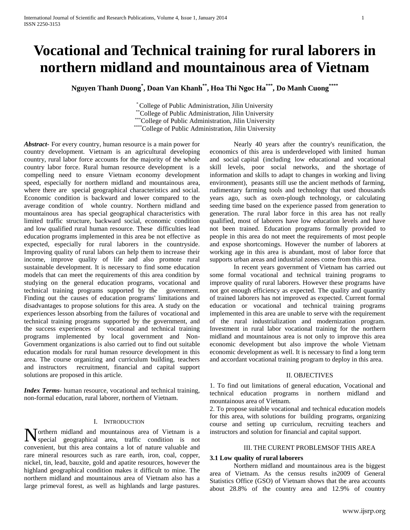# **Vocational and Technical training for rural laborers in northern midland and mountainous area of Vietnam**

**Nguyen Thanh Duong\* , Doan Van Khanh\*\* , Hoa Thi Ngoc Ha\*\*\*, Do Manh Cuong\*\*\*\***

\* College of Public Administration, Jilin University \*\*College of Public Administration, Jilin University \*\*\*College of Public Administration, Jilin University \*\*\*\*\*College of Public Administration, Jilin University

*Abstract***-** For every country, human resource is a main power for country development. Vietnam is an agricultural developing country, rural labor force accounts for the majority of the whole country labor force. Rural human resource development is a compelling need to ensure Vietnam economy development speed, especially for northern midland and mountainous area, where there are special geographical characteristics and social. Economic condition is backward and lower compared to the average condition of whole country. Northern midland and mountainous area has special geographical characteristics with limited traffic structure, backward social, economic condition and low qualified rural human resource. These difficulties lead education programs implemented in this area be not effective as expected, especially for rural laborers in the countryside. Improving quality of rural labors can help them to increase their income, improve quality of life and also promote rural sustainable development. It is necessary to find some education models that can meet the requirements of this area condition by studying on the general education programs, vocational and technical training programs supported by the government. Finding out the causes of education programs' limitations and disadvantages to propose solutions for this area. A study on the experiences lesson absorbing from the failures of vocational and technical training programs supported by the government, and the success experiences of vocational and technical training programs implemented by local government and Non-Government organizations is also carried out to find out suitable education modals for rural human resource development in this area. The course organizing and curriculum building, teachers and instructors recruitment, financial and capital support solutions are proposed in this article.

*Index Terms*- human resource, vocational and technical training, non-formal education, rural laborer, northern of Vietnam.

#### I. INTRODUCTION

orthern midland and mountainous area of Vietnam is a Northern midland and mountainous area of Vietnam is a special geographical area, traffic condition is not convenient, but this area contains a lot of nature valuable and rare mineral resources such as rare earth, iron, coal, copper, nickel, tin, lead, bauxite, gold and apatite resources, however the highland geographical condition makes it difficult to mine. The northern midland and mountainous area of Vietnam also has a large primeval forest, as well as highlands and large pastures.

Nearly 40 years after the country's reunification, the economics of this area is underdeveloped with limited human and social capital (including low educational and vocational skill levels, poor social networks, and the shortage of information and skills to adapt to changes in working and living environment), peasants still use the ancient methods of farming, rudimentary farming tools and technology that used thousands years ago, such as oxen-plough technology, or calculating seeding time based on the experience passed from generation to generation. The rural labor force in this area has not really qualified, most of laborers have low education levels and have not been trained. Education programs formally provided to people in this area do not meet the requirements of most people and expose shortcomings. However the number of laborers at working age in this area is abundant, most of labor force that supports urban areas and industrial zones come from this area.

In recent years government of Vietnam has carried out some formal vocational and technical training programs to improve quality of rural laborers. However these programs have not got enough efficiency as expected. The quality and quantity of trained laborers has not improved as expected. Current formal education or vocational and technical training programs implemented in this area are unable to serve with the requirement of the rural industrialization and modernization program. Investment in rural labor vocational training for the northern midland and mountainous area is not only to improve this area economic development but also improve the whole Vietnam economic development as well. It is necessary to find a long term and accordant vocational training program to deploy in this area.

# II. OBJECTIVES

1. To find out limitations of general education, Vocational and technical education programs in northern midland and mountainous area of Vietnam.

2. To propose suitable vocational and technical education models for this area, with solutions for building programs, organizing course and setting up curriculum, recruiting teachers and instructors and solution for financial and capital support.

#### III. THE CURENT PROBLEMSOF THIS AREA

## **3.1 Low quality of rural laborers**

Northern midland and mountainous area is the biggest area of Vietnam. As the census results in2009 of General Statistics Office (GSO) of Vietnam shows that the area accounts about 28.8% of the country area and 12.9% of country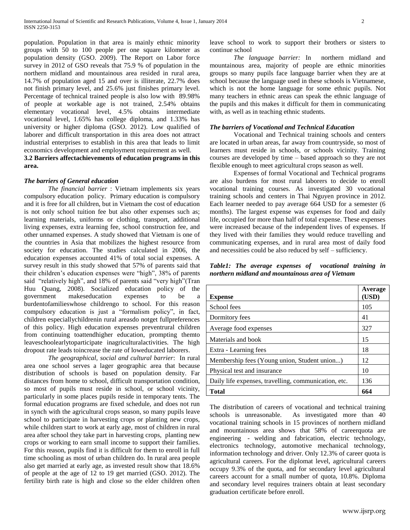population. Population in that area is mainly ethnic minority groups with 50 to 100 people per one square kilometer as population density (GSO. 2009). The Report on Labor force survey in 2012 of GSO reveals that 75.9 % of population in the northern midland and mountainous area resided in rural area, 14.7% of population aged 15 and over is illiterate, 22.7% does not finish primary level, and 25.6% just finishes primary level. Percentage of technical trained people is also low with 89.98% of people at workable age is not trained, 2.54% obtains elementary vocational level, 4.5% obtains intermediate vocational level, 1.65% has college diploma, and 1.33% has university or higher diploma (GSO. 2012). Low qualified of laborer and difficult transportation in this area does not attract industrial enterprises to establish in this area that leads to limit economics development and employment requirement as well.

**3.2 Barriers affectachievements of education programs in this area.**

#### *The barriers of General education*

*The financial barrier* : Vietnam implements six years compulsory education policy. Primary education is compulsory and it is free for all children, but in Vietnam the cost of education is not only school tuition fee but also other expenses such as; learning materials, uniforms or clothing, transport, additional living expenses, extra learning fee, school construction fee, and other unnamed expenses. A study showed that Vietnam is one of the countries in Asia that mobilizes the highest resource from society for education. The studies calculated in 2006, the education expenses accounted 41% of total social expenses. A survey result in this study showed that 57% of parents said that their children"s education expenses were "high", 38% of parents said "relatively high", and 18% of parents said "very high"(Tran Huu Quang, 2008). Socialized education policy of the government makeseducation expenses to be a burdentofamilieswhose childrengo to school. For this reason compulsory education is just a "formalism policy", in fact, children especiallychildrenin rural areasdo notget fullpreferences of this policy. High education expenses preventrural children from continuing toattendhigher education, prompting themto leaveschoolearlytoparticipate inagriculturalactivities. The high dropout rate leads toincrease the rate of loweducated laborers.

*The geographical, social and cultural barrier*: In rural area one school serves a lager geographic area that because distribution of schools is based on population density. Far distances from home to school, difficult transportation condition, so most of pupils must reside in school, or school vicinity, particularly in some places pupils reside in temporary tents. The formal education programs are fixed schedule, and does not run in synch with the agricultural crops season, so many pupils leave school to participate in harvesting crops or planting new crops, while children start to work at early age, most of children in rural area after school they take part in harvesting crops, planting new crops or working to earn small income to support their families. For this reason, pupils find it is difficult for them to enroll in full time schooling as most of urban children do. In rural area people also get married at early age, as invested result show that 18.6% of people at the age of 12 to 19 get married (GSO. 2012). The fertility birth rate is high and close so the elder children often

leave school to work to support their brothers or sisters to continue school

*The language barrier:* In northern midland and mountainous area, majority of people are ethnic minorities groups so many pupils face language barrier when they are at school because the language used in these schools is Vietnamese, which is not the home language for some ethnic pupils. Not many teachers in ethnic areas can speak the ethnic language of the pupils and this makes it difficult for them in communicating with, as well as in teaching ethnic students.

#### *The barriers of Vocational and Technical Education*

Vocational and Technical training schools and centers are located in urban areas, far away from countryside, so most of learners must reside in schools, or schools vicinity. Training courses are developed by time – based approach so they are not flexible enough to meet agricultural crops season as well.

Expenses of formal Vocational and Technical programs are also burdens for most rural laborers to decide to enroll vocational training courses. As investigated 30 vocational training schools and centers in Thai Nguyen province in 2012. Each learner needed to pay average 664 USD for a semester (6 months). The largest expense was expenses for food and daily life, occupied for more than half of total expense. These expenses were increased because of the independent lives of expenses. If they lived with their families they would reduce travelling and communicating expenses, and in rural area most of daily food and necessities could be also reduced by self – sufficiency.

*Table1: The average expenses of vocational training in northern midland and mountainous area of Vietnam*

| <b>Expense</b>                                       | Average<br>(USD) |
|------------------------------------------------------|------------------|
| School fees                                          | 105              |
| Dormitory fees                                       | 41               |
| Average food expenses                                | 327              |
| Materials and book                                   | 15               |
| Extra - Learning fees                                | 18               |
| Membership fees (Young union, Student union)         | 12               |
| Physical test and insurance                          | 10               |
| Daily life expenses, travelling, communication, etc. | 136              |
| <b>Total</b>                                         | 664              |

The distribution of careers of vocational and technical training schools is unreasonable. As investigated more than 40 vocational training schools in 15 provinces of northern midland and mountainous area shows that 58% of careerquota are engineering - welding and fabrication, electric technology, electronics technology, automotive mechanical technology, information technology and driver. Only 12.3% of career quota is agricultural careers. For the diplomat level, agricultural careers occupy 9.3% of the quota, and for secondary level agricultural careers account for a small number of quota, 10.8%. Diploma and secondary level requires trainers obtain at least secondary graduation certificate before enroll.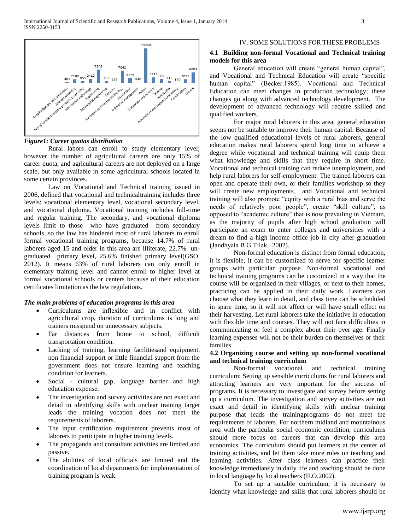

## *Figure1: Career quotas distribution*

Rural labors can enroll to study elementary level; however the number of agricultural careers are only 15% of career quota, and agricultural careers are not deployed on a large scale, but only available in some agricultural schools located in some certain provinces.

Law on Vocational and Technical training issued in 2006, defined that vocational and technicaltraining includes three levels: vocational elementary level, vocational secondary level, and vocational diploma. Vocational training includes full-time and regular training. The secondary, and vocational diploma levels limit to those who have graduated from secondary schools, so the law has hindered most of rural laborers to enroll formal vocational training programs, because 14.7% of rural laborers aged 15 and older in this area are illiterate, 22.7% ungraduated primary level, 25.6% finished primary level(GSO. 2012). It means 63% of rural laborers can only enroll in elementary training level and cannot enroll to higher level at formal vocational schools or centers because of their education certificates limitation as the law regulations.

#### *The main problems of education programs in this area*

- Curriculums are inflexible and in conflict with agricultural crop, duration of curriculums is long and trainers misspend on unnecessary subjects.
- Far distances from home to school, difficult transportation condition.
- Lacking of training, learning facilitiesand equipment, non financial support or little financial support from the government does not ensure learning and teaching condition for learners.
- Social cultural gap, language barrier and high education expense.
- The investigation and survey activities are not exact and detail in identifying skills with unclear training target leads the training vocation does not meet the requirements of laborers.
- The input certification requirement prevents most of laborers to participate in higher training levels.
- The propaganda and consultant activities are limited and passive.
- The abilities of local officials are limited and the coordination of local departments for implementation of training program is weak.

#### IV. SOME SOLUTIONS FOR THESE PROBLEMS

# **4.1 Building non-formal Vocational and Technical training models for this area**

General education will create "general human capital", and Vocational and Technical Education will create "specific human capital" (Becker.1985). Vocational and Technical Education can meet changes in production technology; these changes go along with advanced technology development. The development of advanced technology will require skilled and qualified workers.

For major rural laborers in this area, general education seems not be suitable to improve their human capital. Because of the low qualified educational levels of rural laborers, general education makes rural laborers spend long time to achieve a degree while vocational and technical training will equip them what knowledge and skills that they require in short time. Vocational and technical training can reduce unemployment, and help rural laborers for self-employment. The trained laborers can open and operate their own, or their families workshop so they will create new employments. and Vocational and technical training will also promote "equity with a rural bias and serve the needs of relatively poor people", create "skill culture", as opposed to "academic culture" that is now prevailing in Vietnam, as the majority of pupils after high school graduation will participate an exam to enter colleges and universities with a dream to find a high income office job in city after graduation (Jandhyala B G Tilak. 2002).

Non-formal education is distinct from formal education, it is flexible, it can be customized to serve for specific learner groups with particular purpose. Non-formal vocational and technical training programs can be customized in a way that the course will be organized in their villages, or next to their homes, practicing can be applied in their daily work. Learners can choose what they learn in detail, and class time can be scheduled in spare time, so it will not affect or will have small effect on their harvesting. Let rural laborers take the initiative in education with flexible time and courses. They will not face difficulties in communicating or feel a complex about their over age. Finally learning expenses will not be their burden on themselves or their families.

# **4.2 Organizing course and setting up non-formal vocational and technical training curriculum**

Non-formal vocational and technical training curriculum: Setting up sensible curriculums for rural laborers and attracting learners are very important for the success of programs. It is necessary to investigate and survey before setting up a curriculum. The investigation and survey activities are not exact and detail in identifying skills with unclear training purpose that leads the trainingprograms do not meet the requirements of laborers. For northern midland and mountainous area with the particular social economic condition, curriculums should more focus on careers that can develop this area economics. The curriculum should put learners at the center of training activities, and let them take more roles on teaching and learning activities. After class learners can practice their knowledge immediately in daily life and teaching should be done in local language by local teachers (ILO.2002).

To set up a suitable curriculum, it is necessary to identify what knowledge and skills that rural laborers should be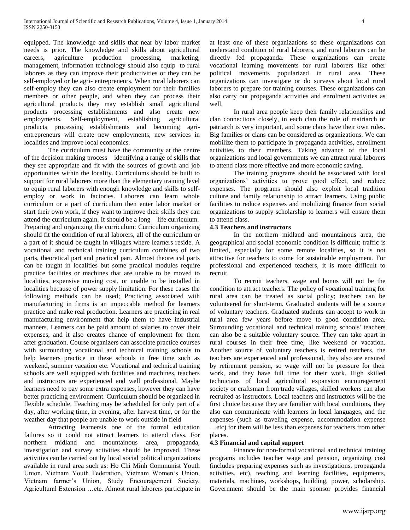equipped. The knowledge and skills that near by labor market needs is prior. The knowledge and skills about agricultural careers, agriculture production processing, marketing, management, information technology should also equip to rural laborers as they can improve their productivities or they can be self-employed or be agri- entrepreneurs. When rural laborers can self-employ they can also create employment for their families members or other people, and when they can process their agricultural products they may establish small agricultural products processing establishments and also create new employments. Self-employment, establishing agricultural products processing establishments and becoming agrientrepreneurs will create new employments, new services in localities and improve local economics.

The curriculum must have the community at the centre of the decision making process – identifying a range of skills that they see appropriate and fit with the sources of growth and job opportunities within the locality. Curriculums should be built to support for rural laborers more than the elementary training level to equip rural laborers with enough knowledge and skills to selfemploy or work in factories. Laborers can learn whole curriculum or a part of curriculum then enter labor market or start their own work, if they want to improve their skills they can attend the curriculum again. It should be a long – life curriculum. Preparing and organizing the curriculum: Curriculum organizing should fit the condition of rural laborers, all of the curriculum or a part of it should be taught in villages where learners reside. A vocational and technical training curriculum combines of two parts, theoretical part and practical part. Almost theoretical parts can be taught in localities but some practical modules require practice facilities or machines that are unable to be moved to localities, expensive moving cost, or unable to be installed in localities because of power supply limitation. For these cases the following methods can be used; Practicing associated with manufacturing in firms is an impeccable method for learners practice and make real production. Learners are practicing in real manufacturing environment that help them to have industrial manners. Learners can be paid amount of salaries to cover their expenses, and it also creates chance of employment for them after graduation. Course organizers can associate practice courses with surrounding vocational and technical training schools to help learners practice in these schools in free time such as weekend, summer vacation etc. Vocational and technical training schools are well equipped with facilities and machines, teachers and instructors are experienced and well professional. Maybe learners need to pay some extra expenses, however they can have better practicing environment. Curriculum should be organized in flexible schedule. Teaching may be scheduled for only part of a day, after working time, in evening, after harvest time, or for the weather day that people are unable to work outside in field

Attracting learnersis one of the formal education failures so it could not attract learners to attend class. For northern midland and mountainous area, propaganda, investigation and survey activities should be improved. These activities can be carried out by local social political organizations available in rural area such as: Ho Chi Minh Communist Youth Union, Vietnam Youth Federation, Vietnam Women"s Union, Vietnam farmer"s Union, Study Encouragement Society, Agricultural Extension …etc. Almost rural laborers participate in at least one of these organizations so these organizations can understand condition of rural laborers, and rural laborers can be directly fed propaganda. These organizations can create vocational learning movements for rural laborers like other political movements popularized in rural area. These organizations can investigate or do surveys about local rural laborers to prepare for training courses. These organizations can also carry out propaganda activities and enrolment activities as well.

In rural area people keep their family relationships and clan connections closely, in each clan the role of matriarch or patriarch is very important, and some clans have their own rules. Big families or clans can be considered as organizations. We can mobilize them to participate in propaganda activities, enrollment activities to their members. Taking advance of the local organizations and local governments we can attract rural laborers to attend class more effective and more economic saving.

The training programs should be associated with local organizations" activities to prove good effect, and reduce expenses. The programs should also exploit local tradition culture and family relationship to attract learners. Using public facilities to reduce expenses and mobilizing finance from social organizations to supply scholarship to learners will ensure them to attend class.

#### **4.3 Teachers and instructors**

In the northern midland and mountainous area, the geographical and social economic condition is difficult; traffic is limited, especially for some remote localities, so it is not attractive for teachers to come for sustainable employment. For professional and experienced teachers, it is more difficult to recruit.

To recruit teachers, wage and bonus will not be the condition to attract teachers. The policy of vocational training for rural area can be treated as social policy; teachers can be volunteered for short-term. Graduated students will be a source of voluntary teachers. Graduated students can accept to work in rural area few years before move to good condition area. Surrounding vocational and technical training schools' teachers can also be a suitable voluntary source. They can take apart in rural courses in their free time, like weekend or vacation. Another source of voluntary teachers is retired teachers, the teachers are experienced and professional, they also are ensured by retirement pension, so wage will not be pressure for their work, and they have full time for their work. High skilled technicians of local agricultural expansion encouragement society or craftsman from trade villages, skilled workers can also recruited as instructors. Local teachers and instructors will be the first choice because they are familiar with local conditions, they also can communicate with learners in local languages, and the expenses (such as traveling expense, accommodation expense …etc) for them will be less than expenses for teachers from other places.

#### **4.3 Financial and capital support**

Finance for non-formal vocational and technical training programs includes teacher wage and pension, organizing cost (includes preparing expenses such as investigations, propaganda activities. etc), teaching and learning facilities, equipments, materials, machines, workshops, building, power, scholarship. Government should be the main sponsor provides financial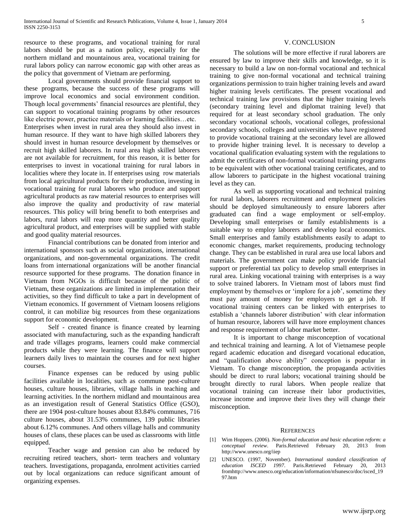resource to these programs, and vocational training for rural labors should be put as a nation policy, especially for the northern midland and mountainous area, vocational training for rural labors policy can narrow economic gap with other areas as the policy that government of Vietnam are performing.

Local governments should provide financial support to these programs, because the success of these programs will improve local economics and social environment condition. Though local governments' financial resources are plentiful, they can support to vocational training programs by other resources like electric power, practice materials or learning facilities…etc. Enterprises when invest in rural area they should also invest in human resource. If they want to have high skilled laborers they should invest in human resource development by themselves or recruit high skilled laborers. In rural area high skilled laborers are not available for recruitment, for this reason, it is better for enterprises to invest in vocational training for rural labors in localities where they locate in. If enterprises using row materials from local agricultural products for their production, investing in vocational training for rural laborers who produce and support agricultural products as raw material resources to enterprises will also improve the quality and productivity of raw material resources. This policy will bring benefit to both enterprises and labors, rural labors will reap more quantity and better quality agricultural product, and enterprises will be supplied with stable and good quality material resources.

Financial contributions can be donated from interior and international sponsors such as social organizations, international organizations, and non-governmental organizations. The credit loans from international organizations will be another financial resource supported for these programs. The donation finance in Vietnam from NGOs is difficult because of the politic of Vietnam, these organizations are limited in implementation their activities, so they find difficult to take a part in development of Vietnam economics. If government of Vietnam loosens religions control, it can mobilize big resources from these organizations support for economic development.

Self - created finance is finance created by learning associated with manufacturing, such as the expanding handicraft and trade villages programs, learners could make commercial products while they were learning. The finance will support learners daily lives to maintain the courses and for next higher courses.

Finance expenses can be reduced by using public facilities available in localities, such as commune post-culture houses, culture houses, libraries, village halls in teaching and learning activities. In the northern midland and mountainous area as an investigation result of General Statistics Office (GSO), there are 1904 post-culture houses about 83.84% communes, 716 culture houses, about 31.53% communes, 139 public libraries about 6.12% communes. And others village halls and community houses of clans, these places can be used as classrooms with little equipped.

Teacher wage and pension can also be reduced by recruiting retired teachers, short- term teachers and voluntary teachers. Investigations, propaganda, enrolment activities carried out by local organizations can reduce significant amount of organizing expenses.

# V. CONCLUSION

The solutions will be more effective if rural laborers are ensured by law to improve their skills and knowledge, so it is necessary to build a law on non-formal vocational and technical training to give non-formal vocational and technical training organizations permission to train higher training levels and award higher training levels certificates. The present vocational and technical training law provisions that the higher training levels (secondary training level and diplomat training level) that required for at least secondary school graduation. The only secondary vocational schools, vocational colleges, professional secondary schools, colleges and universities who have registered to provide vocational training at the secondary level are allowed to provide higher training level. It is necessary to develop a vocational qualification evaluating system with the regulations to admit the certificates of non-formal vocational training programs to be equivalent with other vocational training certificates, and to allow laborers to participate in the highest vocational training level as they can.

As well as supporting vocational and technical training for rural labors, laborers recruitment and employment policies should be deployed simultaneously to ensure laborers after graduated can find a wage employment or self-employ. Developing small enterprises or family establishments is a suitable way to employ laborers and develop local economics. Small enterprises and family establishments easily to adapt to economic changes, market requirements, producing technology change. They can be established in rural area use local labors and materials. The government can make policy provide financial support or preferential tax policy to develop small enterprises in rural area. Linking vocational training with enterprises is a way to solve trained laborers. In Vietnam most of labors must find employment by themselves or 'implore for a job', sometime they must pay amount of money for employers to get a job. If vocational training centers can be linked with enterprises to establish a "channels laborer distribution" with clear information of human resource, laborers will have more employment chances and response requirement of labor market better.

It is important to change misconception of vocational and technical training and learning. A lot of Vietnamese people regard academic education and disregard vocational education, and "qualification above ability" conception is popular in Vietnam. To change misconception, the propaganda activities should be direct to rural labors; vocational training should be brought directly to rural labors. When people realize that vocational training can increase their labor productivities, increase income and improve their lives they will change their misconception.

#### **REFERENCES**

- [1] Wim Hoppers. (2006). *Non-formal education and basic education reform: a conceptual review*. Paris.Retrieved February 20, 2013 from http://www.unesco.org/iiep
- [2] UNESCO. (1997, November). *International standard classification of education ISCED 1997.* Paris.Retrieved February 20, 2013 fro[mhttp://www.unesco.org/education/information/nfsunesco/doc/isced\\_19](http://www.unesco.org/education/information/nfsunesco/doc/isced_1997.htm) [97.htm](http://www.unesco.org/education/information/nfsunesco/doc/isced_1997.htm)